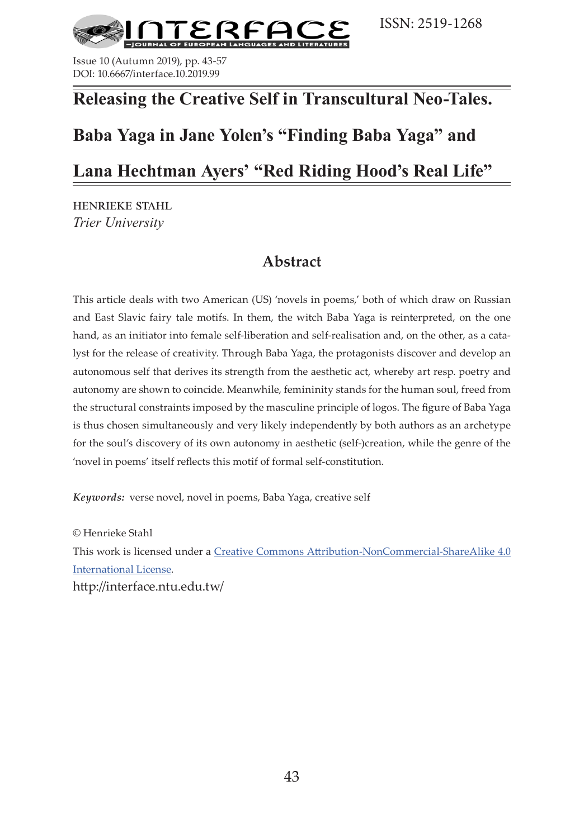

Issue 10 (Autumn 2019), pp. 43-57 DOI: 10.6667/interface.10.2019.99

# **Releasing the Creative Self in Transcultural Neo-Tales.**

# **Baba Yaga in Jane Yolen's "Finding Baba Yaga" and**

# **Lana Hechtman Ayers' "Red Riding Hood's Real Life"**

henrieke stahl *Trier University*

## **Abstract**

This article deals with two American (US) 'novels in poems,' both of which draw on Russian and East Slavic fairy tale motifs. In them, the witch Baba Yaga is reinterpreted, on the one hand, as an initiator into female self-liberation and self-realisation and, on the other, as a catalyst for the release of creativity. Through Baba Yaga, the protagonists discover and develop an autonomous self that derives its strength from the aesthetic act, whereby art resp. poetry and autonomy are shown to coincide. Meanwhile, femininity stands for the human soul, freed from the structural constraints imposed by the masculine principle of logos. The figure of Baba Yaga is thus chosen simultaneously and very likely independently by both authors as an archetype for the soul's discovery of its own autonomy in aesthetic (self-)creation, while the genre of the 'novel in poems' itself reflects this motif of formal self-constitution.

*Keywords:* verse novel, novel in poems, Baba Yaga, creative self

© Henrieke Stahl This work is licensed under a [Creative Commons Attribution-NonCommercial-ShareAlike 4.0](https://creativecommons.org/licenses/by-nc-sa/4.0/)  [International License.](https://creativecommons.org/licenses/by-nc-sa/4.0/) http://interface.ntu.edu.tw/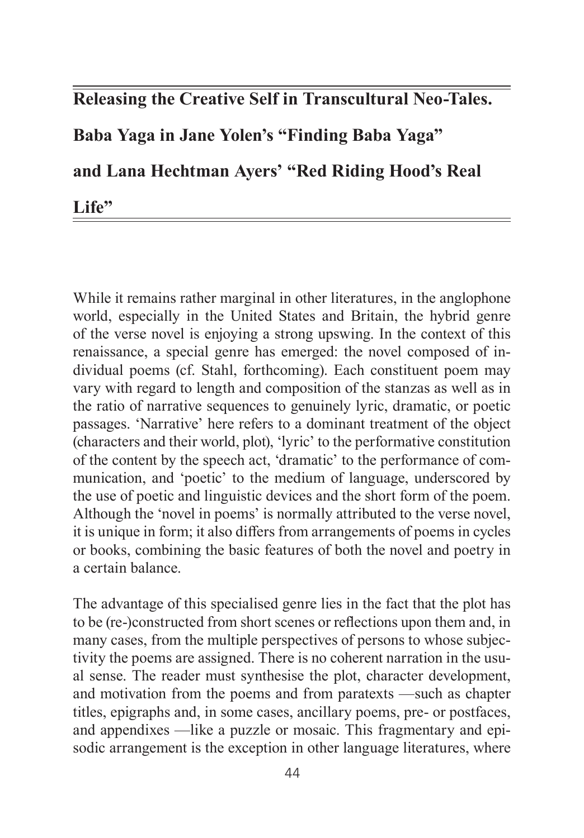## **Releasing the Creative Self in Transcultural Neo-Tales.**

**Baba Yaga in Jane Yolen's "Finding Baba Yaga"**

**and Lana Hechtman Ayers' "Red Riding Hood's Real** 

Life"

While it remains rather marginal in other literatures, in the anglophone world, especially in the United States and Britain, the hybrid genre of the verse novel is enjoying a strong upswing. In the context of this renaissance, a special genre has emerged: the novel composed of individual poems (cf. Stahl, forthcoming). Each constituent poem may vary with regard to length and composition of the stanzas as well as in the ratio of narrative sequences to genuinely lyric, dramatic, or poetic passages. 'Narrative' here refers to a dominant treatment of the object (characters and their world, plot), 'lyric' to the performative constitution of the content by the speech act, 'dramatic' to the performance of communication, and 'poetic' to the medium of language, underscored by the use of poetic and linguistic devices and the short form of the poem. Although the 'novel in poems' is normally attributed to the verse novel, it is unique in form; it also differs from arrangements of poems in cycles or books, combining the basic features of both the novel and poetry in a certain balance.

The advantage of this specialised genre lies in the fact that the plot has to be (re-)constructed from short scenes or reflections upon them and, in many cases, from the multiple perspectives of persons to whose subjectivity the poems are assigned. There is no coherent narration in the usual sense. The reader must synthesise the plot, character development, and motivation from the poems and from paratexts —such as chapter titles, epigraphs and, in some cases, ancillary poems, pre- or postfaces, and appendixes —like a puzzle or mosaic. This fragmentary and episodic arrangement is the exception in other language literatures, where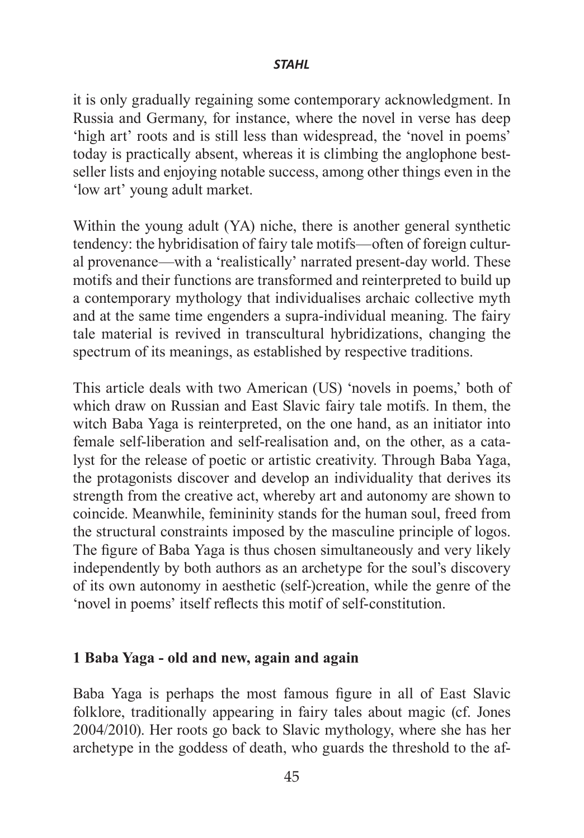it is only gradually regaining some contemporary acknowledgment. In Russia and Germany, for instance, where the novel in verse has deep 'high art' roots and is still less than widespread, the 'novel in poems' today is practically absent, whereas it is climbing the anglophone bestseller lists and enjoying notable success, among other things even in the 'low art' young adult market.

Within the young adult (YA) niche, there is another general synthetic tendency: the hybridisation of fairy tale motifs—often of foreign cultural provenance—with a 'realistically' narrated present-day world. These motifs and their functions are transformed and reinterpreted to build up a contemporary mythology that individualises archaic collective myth and at the same time engenders a supra-individual meaning. The fairy tale material is revived in transcultural hybridizations, changing the spectrum of its meanings, as established by respective traditions.

This article deals with two American (US) 'novels in poems,' both of which draw on Russian and East Slavic fairy tale motifs. In them, the witch Baba Yaga is reinterpreted, on the one hand, as an initiator into female self-liberation and self-realisation and, on the other, as a catalyst for the release of poetic or artistic creativity. Through Baba Yaga, the protagonists discover and develop an individuality that derives its strength from the creative act, whereby art and autonomy are shown to coincide. Meanwhile, femininity stands for the human soul, freed from the structural constraints imposed by the masculine principle of logos. The figure of Baba Yaga is thus chosen simultaneously and very likely independently by both authors as an archetype for the soul's discovery of its own autonomy in aesthetic (self-)creation, while the genre of the 'novel in poems' itself reflects this motif of self-constitution.

## **1 Baba Yaga - old and new, again and again**

Baba Yaga is perhaps the most famous figure in all of East Slavic folklore, traditionally appearing in fairy tales about magic (cf. Jones 2004/2010). Her roots go back to Slavic mythology, where she has her archetype in the goddess of death, who guards the threshold to the af-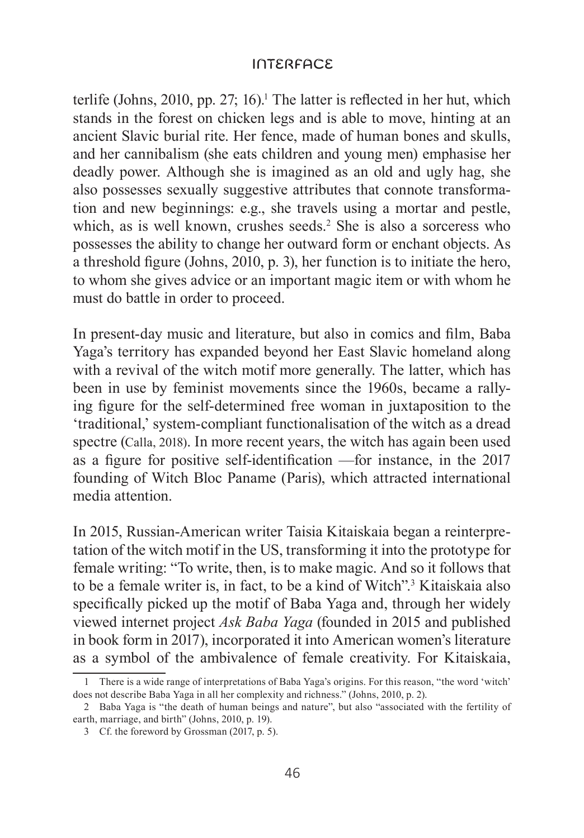terlife (Johns, 2010, pp. 27; 16).<sup>1</sup> The latter is reflected in her hut, which stands in the forest on chicken legs and is able to move, hinting at an ancient Slavic burial rite. Her fence, made of human bones and skulls, and her cannibalism (she eats children and young men) emphasise her deadly power. Although she is imagined as an old and ugly hag, she also possesses sexually suggestive attributes that connote transformation and new beginnings: e.g., she travels using a mortar and pestle, which, as is well known, crushes seeds.<sup>2</sup> She is also a sorceress who possesses the ability to change her outward form or enchant objects. As a threshold figure (Johns, 2010, p. 3), her function is to initiate the hero, to whom she gives advice or an important magic item or with whom he must do battle in order to proceed.

In present-day music and literature, but also in comics and film, Baba Yaga's territory has expanded beyond her East Slavic homeland along with a revival of the witch motif more generally. The latter, which has been in use by feminist movements since the 1960s, became a rallying figure for the self-determined free woman in juxtaposition to the 'traditional,' system-compliant functionalisation of the witch as a dread spectre (Calla, 2018). In more recent years, the witch has again been used as a figure for positive self-identification —for instance, in the 2017 founding of Witch Bloc Paname (Paris), which attracted international media attention.

In 2015, Russian-American writer Taisia Kitaiskaia began a reinterpretation of the witch motif in the US, transforming it into the prototype for female writing: "To write, then, is to make magic. And so it follows that to be a female writer is, in fact, to be a kind of Witch".3 Kitaiskaia also specifically picked up the motif of Baba Yaga and, through her widely viewed internet project *Ask Baba Yaga* (founded in 2015 and published in book form in 2017), incorporated it into American women's literature as a symbol of the ambivalence of female creativity. For Kitaiskaia,

<sup>1</sup> There is a wide range of interpretations of Baba Yaga's origins. For this reason, "the word 'witch' does not describe Baba Yaga in all her complexity and richness." (Johns, 2010, p. 2).

<sup>2</sup> Baba Yaga is "the death of human beings and nature", but also "associated with the fertility of earth, marriage, and birth" (Johns, 2010, p. 19).

<sup>3</sup> Cf. the foreword by Grossman (2017, p. 5).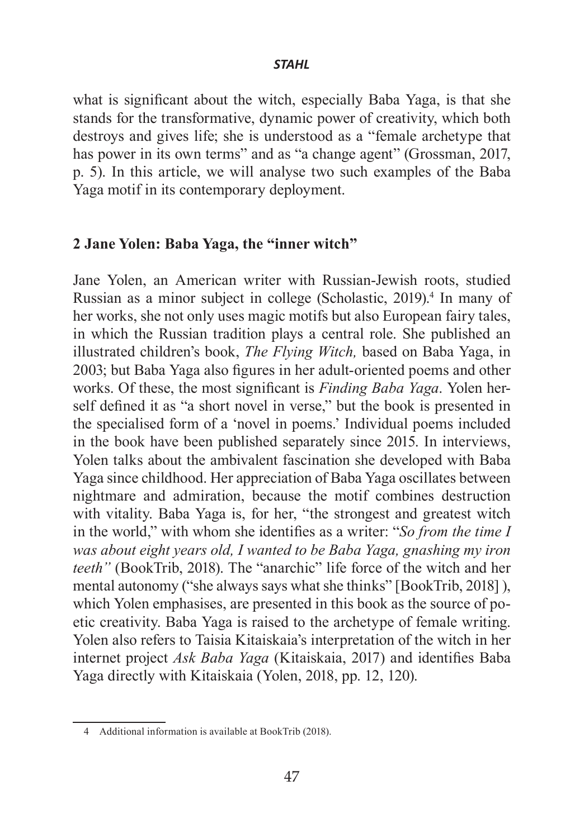what is significant about the witch, especially Baba Yaga, is that she stands for the transformative, dynamic power of creativity, which both destroys and gives life; she is understood as a "female archetype that has power in its own terms" and as "a change agent" (Grossman, 2017, p. 5). In this article, we will analyse two such examples of the Baba Yaga motif in its contemporary deployment.

## **2 Jane Yolen: Baba Yaga, the "inner witch"**

Jane Yolen, an American writer with Russian-Jewish roots, studied Russian as a minor subject in college (Scholastic, 2019).<sup>4</sup> In many of her works, she not only uses magic motifs but also European fairy tales, in which the Russian tradition plays a central role. She published an illustrated children's book, *The Flying Witch,* based on Baba Yaga, in 2003; but Baba Yaga also figures in her adult-oriented poems and other works. Of these, the most significant is *Finding Baba Yaga*. Yolen herself defined it as "a short novel in verse," but the book is presented in the specialised form of a 'novel in poems.' Individual poems included in the book have been published separately since 2015. In interviews, Yolen talks about the ambivalent fascination she developed with Baba Yaga since childhood. Her appreciation of Baba Yaga oscillates between nightmare and admiration, because the motif combines destruction with vitality. Baba Yaga is, for her, "the strongest and greatest witch in the world," with whom she identifies as a writer: "*So from the time I was about eight years old, I wanted to be Baba Yaga, gnashing my iron teeth"* (BookTrib, 2018). The "anarchic" life force of the witch and her mental autonomy ("she always says what she thinks" [BookTrib, 2018] ), which Yolen emphasises, are presented in this book as the source of poetic creativity. Baba Yaga is raised to the archetype of female writing. Yolen also refers to Taisia Kitaiskaia's interpretation of the witch in her internet project *Ask Baba Yaga* (Kitaiskaia, 2017) and identifies Baba Yaga directly with Kitaiskaia (Yolen, 2018, pp. 12, 120).

<sup>4</sup> Additional information is available at BookTrib (2018).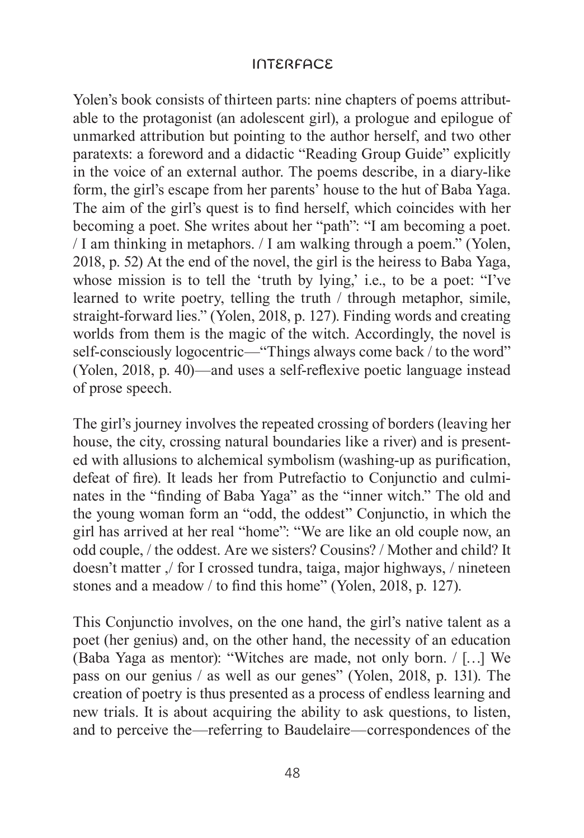Yolen's book consists of thirteen parts: nine chapters of poems attributable to the protagonist (an adolescent girl), a prologue and epilogue of unmarked attribution but pointing to the author herself, and two other paratexts: a foreword and a didactic "Reading Group Guide" explicitly in the voice of an external author. The poems describe, in a diary-like form, the girl's escape from her parents' house to the hut of Baba Yaga. The aim of the girl's quest is to find herself, which coincides with her becoming a poet. She writes about her "path": "I am becoming a poet. / I am thinking in metaphors. / I am walking through a poem." (Yolen, 2018, p. 52) At the end of the novel, the girl is the heiress to Baba Yaga, whose mission is to tell the 'truth by lying,' i.e., to be a poet: "I've learned to write poetry, telling the truth / through metaphor, simile, straight-forward lies." (Yolen, 2018, p. 127). Finding words and creating worlds from them is the magic of the witch. Accordingly, the novel is self-consciously logocentric—"Things always come back / to the word" (Yolen, 2018, p. 40)—and uses a self-reflexive poetic language instead of prose speech.

The girl's journey involves the repeated crossing of borders (leaving her house, the city, crossing natural boundaries like a river) and is presented with allusions to alchemical symbolism (washing-up as purification, defeat of fire). It leads her from Putrefactio to Conjunctio and culminates in the "finding of Baba Yaga" as the "inner witch." The old and the young woman form an "odd, the oddest" Conjunctio, in which the girl has arrived at her real "home": "We are like an old couple now, an odd couple, / the oddest. Are we sisters? Cousins? / Mother and child? It doesn't matter ,/ for I crossed tundra, taiga, major highways, / nineteen stones and a meadow / to find this home" (Yolen, 2018, p. 127).

This Conjunctio involves, on the one hand, the girl's native talent as a poet (her genius) and, on the other hand, the necessity of an education (Baba Yaga as mentor): "Witches are made, not only born. / […] We pass on our genius / as well as our genes" (Yolen, 2018, p. 131). The creation of poetry is thus presented as a process of endless learning and new trials. It is about acquiring the ability to ask questions, to listen, and to perceive the—referring to Baudelaire—correspondences of the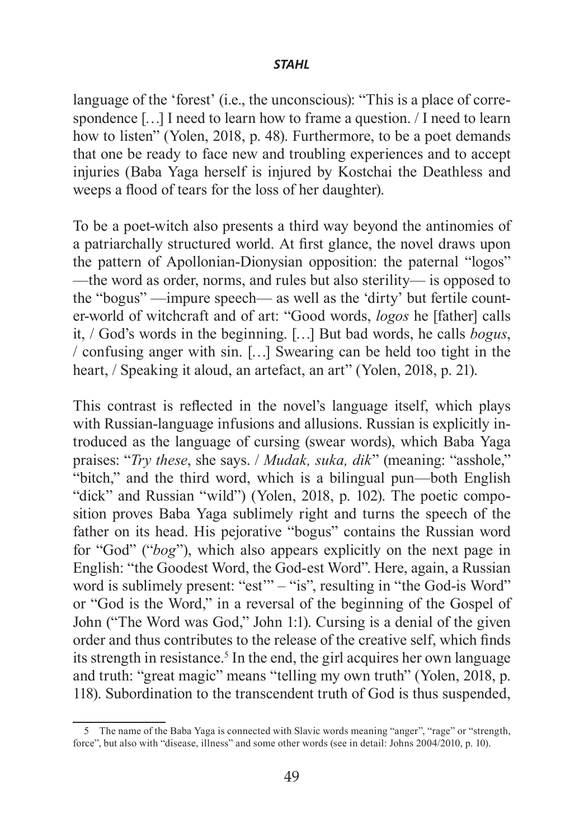language of the 'forest' (i.e., the unconscious): "This is a place of correspondence […] I need to learn how to frame a question. / I need to learn how to listen" (Yolen, 2018, p. 48). Furthermore, to be a poet demands that one be ready to face new and troubling experiences and to accept injuries (Baba Yaga herself is injured by Kostchai the Deathless and weeps a flood of tears for the loss of her daughter).

To be a poet-witch also presents a third way beyond the antinomies of a patriarchally structured world. At first glance, the novel draws upon the pattern of Apollonian-Dionysian opposition: the paternal "logos" —the word as order, norms, and rules but also sterility— is opposed to the "bogus" —impure speech— as well as the 'dirty' but fertile counter-world of witchcraft and of art: "Good words, *logos* he [father] calls it, / God's words in the beginning. […] But bad words, he calls *bogus*, / confusing anger with sin. […] Swearing can be held too tight in the heart, / Speaking it aloud, an artefact, an art" (Yolen, 2018, p. 21).

This contrast is reflected in the novel's language itself, which plays with Russian-language infusions and allusions. Russian is explicitly introduced as the language of cursing (swear words), which Baba Yaga praises: "*Try these*, she says. / *Mudak, suka, dik*" (meaning: "asshole," "bitch," and the third word, which is a bilingual pun—both English "dick" and Russian "wild") (Yolen, 2018, p. 102). The poetic composition proves Baba Yaga sublimely right and turns the speech of the father on its head. His pejorative "bogus" contains the Russian word for "God" ("*bog*"), which also appears explicitly on the next page in English: "the Goodest Word, the God-est Word". Here, again, a Russian word is sublimely present: "est" – "is", resulting in "the God-is Word" or "God is the Word," in a reversal of the beginning of the Gospel of John ("The Word was God," John 1:1). Cursing is a denial of the given order and thus contributes to the release of the creative self, which finds its strength in resistance.<sup>5</sup> In the end, the girl acquires her own language and truth: "great magic" means "telling my own truth" (Yolen, 2018, p. 118). Subordination to the transcendent truth of God is thus suspended,

<sup>5</sup> The name of the Baba Yaga is connected with Slavic words meaning "anger", "rage" or "strength, force", but also with "disease, illness" and some other words (see in detail: Johns 2004/2010, p. 10).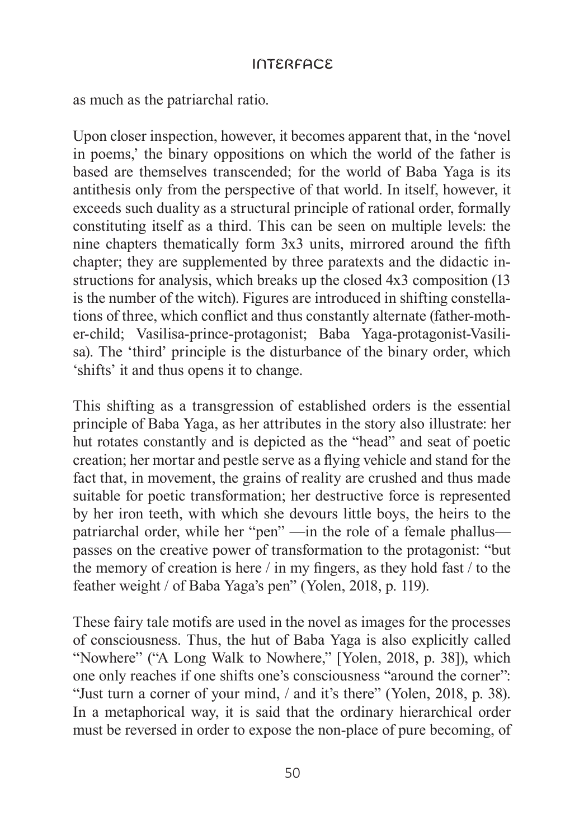as much as the patriarchal ratio.

Upon closer inspection, however, it becomes apparent that, in the 'novel in poems,' the binary oppositions on which the world of the father is based are themselves transcended; for the world of Baba Yaga is its antithesis only from the perspective of that world. In itself, however, it exceeds such duality as a structural principle of rational order, formally constituting itself as a third. This can be seen on multiple levels: the nine chapters thematically form 3x3 units, mirrored around the fifth chapter; they are supplemented by three paratexts and the didactic instructions for analysis, which breaks up the closed 4x3 composition (13 is the number of the witch). Figures are introduced in shifting constellations of three, which conflict and thus constantly alternate (father-mother-child; Vasilisa-prince-protagonist; Baba Yaga-protagonist-Vasilisa). The 'third' principle is the disturbance of the binary order, which 'shifts' it and thus opens it to change.

This shifting as a transgression of established orders is the essential principle of Baba Yaga, as her attributes in the story also illustrate: her hut rotates constantly and is depicted as the "head" and seat of poetic creation; her mortar and pestle serve as a flying vehicle and stand for the fact that, in movement, the grains of reality are crushed and thus made suitable for poetic transformation; her destructive force is represented by her iron teeth, with which she devours little boys, the heirs to the patriarchal order, while her "pen" —in the role of a female phallus passes on the creative power of transformation to the protagonist: "but the memory of creation is here / in my fingers, as they hold fast / to the feather weight / of Baba Yaga's pen" (Yolen, 2018, p. 119).

These fairy tale motifs are used in the novel as images for the processes of consciousness. Thus, the hut of Baba Yaga is also explicitly called "Nowhere" ("A Long Walk to Nowhere," [Yolen, 2018, p. 38]), which one only reaches if one shifts one's consciousness "around the corner": "Just turn a corner of your mind, / and it's there" (Yolen, 2018, p. 38). In a metaphorical way, it is said that the ordinary hierarchical order must be reversed in order to expose the non-place of pure becoming, of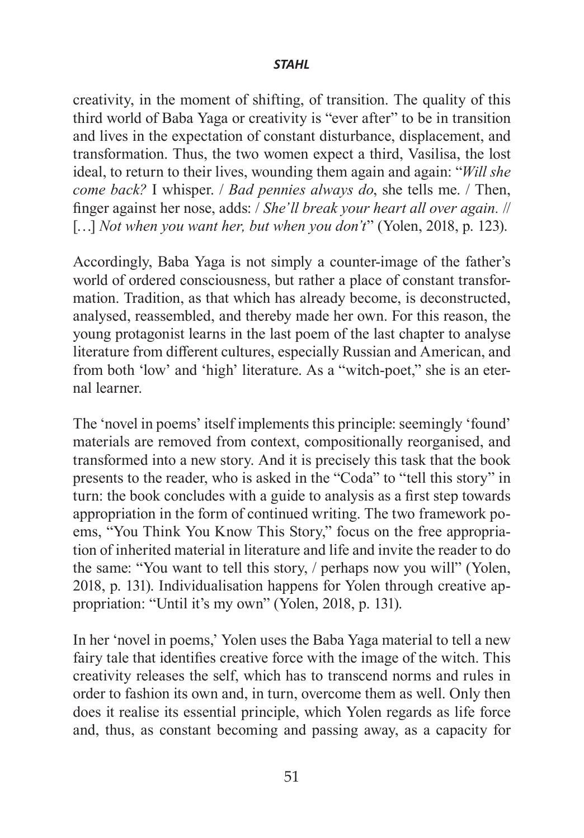creativity, in the moment of shifting, of transition. The quality of this third world of Baba Yaga or creativity is "ever after" to be in transition and lives in the expectation of constant disturbance, displacement, and transformation. Thus, the two women expect a third, Vasilisa, the lost ideal, to return to their lives, wounding them again and again: "*Will she come back?* I whisper. / *Bad pennies always do*, she tells me. / Then, finger against her nose, adds: / *She'll break your heart all over again.* // [...] *Not when you want her, but when you don't*" (Yolen, 2018, p. 123).

Accordingly, Baba Yaga is not simply a counter-image of the father's world of ordered consciousness, but rather a place of constant transformation. Tradition, as that which has already become, is deconstructed, analysed, reassembled, and thereby made her own. For this reason, the young protagonist learns in the last poem of the last chapter to analyse literature from different cultures, especially Russian and American, and from both 'low' and 'high' literature. As a "witch-poet," she is an eternal learner.

The 'novel in poems' itself implements this principle: seemingly 'found' materials are removed from context, compositionally reorganised, and transformed into a new story. And it is precisely this task that the book presents to the reader, who is asked in the "Coda" to "tell this story" in turn: the book concludes with a guide to analysis as a first step towards appropriation in the form of continued writing. The two framework poems, "You Think You Know This Story," focus on the free appropriation of inherited material in literature and life and invite the reader to do the same: "You want to tell this story, / perhaps now you will" (Yolen, 2018, p. 131). Individualisation happens for Yolen through creative appropriation: "Until it's my own" (Yolen, 2018, p. 131).

In her 'novel in poems,' Yolen uses the Baba Yaga material to tell a new fairy tale that identifies creative force with the image of the witch. This creativity releases the self, which has to transcend norms and rules in order to fashion its own and, in turn, overcome them as well. Only then does it realise its essential principle, which Yolen regards as life force and, thus, as constant becoming and passing away, as a capacity for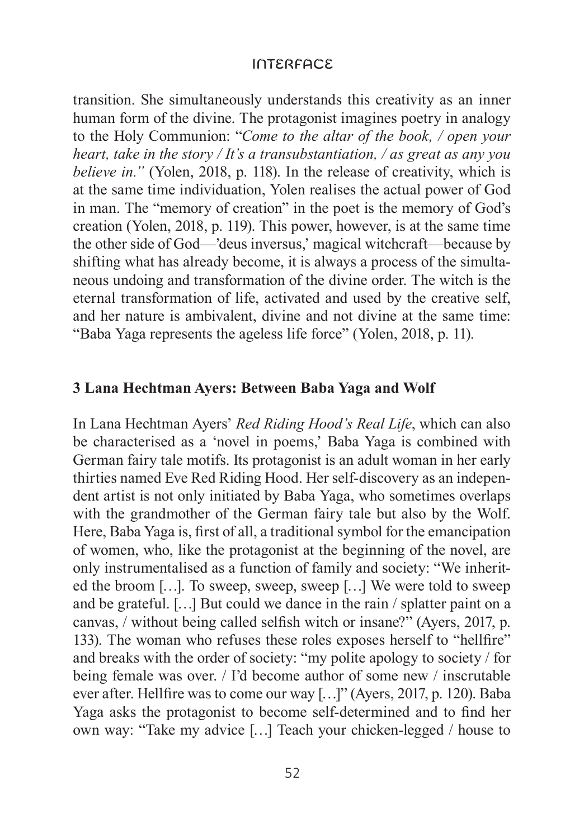transition. She simultaneously understands this creativity as an inner human form of the divine. The protagonist imagines poetry in analogy to the Holy Communion: "*Come to the altar of the book, / open your heart, take in the story / It's a transubstantiation, / as great as any you believe in."* (Yolen, 2018, p. 118). In the release of creativity, which is at the same time individuation, Yolen realises the actual power of God in man. The "memory of creation" in the poet is the memory of God's creation (Yolen, 2018, p. 119). This power, however, is at the same time the other side of God—'deus inversus,' magical witchcraft—because by shifting what has already become, it is always a process of the simultaneous undoing and transformation of the divine order. The witch is the eternal transformation of life, activated and used by the creative self, and her nature is ambivalent, divine and not divine at the same time: "Baba Yaga represents the ageless life force" (Yolen, 2018, p. 11).

## **3 Lana Hechtman Ayers: Between Baba Yaga and Wolf**

In Lana Hechtman Ayers' *Red Riding Hood's Real Life*, which can also be characterised as a 'novel in poems,' Baba Yaga is combined with German fairy tale motifs. Its protagonist is an adult woman in her early thirties named Eve Red Riding Hood. Her self-discovery as an independent artist is not only initiated by Baba Yaga, who sometimes overlaps with the grandmother of the German fairy tale but also by the Wolf. Here, Baba Yaga is, first of all, a traditional symbol for the emancipation of women, who, like the protagonist at the beginning of the novel, are only instrumentalised as a function of family and society: "We inherited the broom […]. To sweep, sweep, sweep […] We were told to sweep and be grateful. […] But could we dance in the rain / splatter paint on a canvas, / without being called selfish witch or insane?" (Ayers, 2017, p. 133). The woman who refuses these roles exposes herself to "hellfire" and breaks with the order of society: "my polite apology to society / for being female was over. / I'd become author of some new / inscrutable ever after. Hellfire was to come our way […]" (Ayers, 2017, p. 120). Baba Yaga asks the protagonist to become self-determined and to find her own way: "Take my advice […] Teach your chicken-legged / house to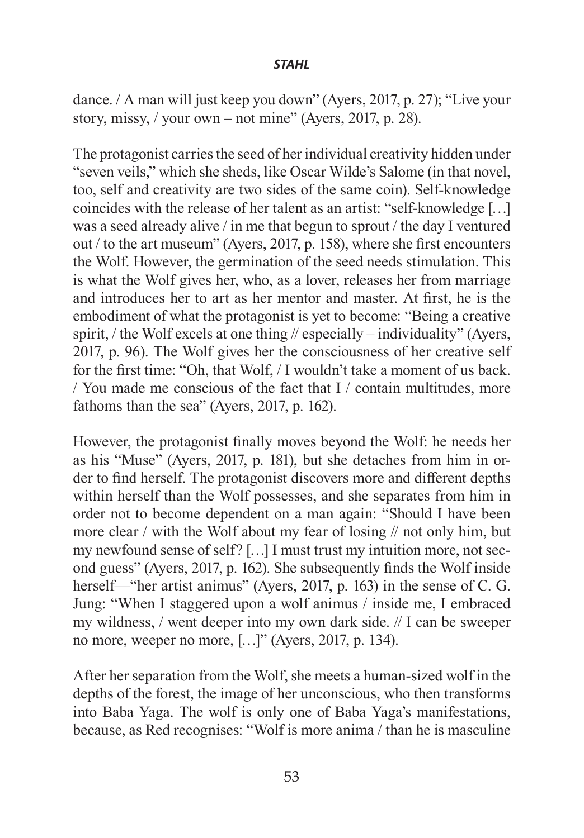dance. / A man will just keep you down" (Ayers, 2017, p. 27); "Live your story, missy,  $\frac{\prime}{\prime}$  your own – not mine" (Ayers, 2017, p. 28).

The protagonist carries the seed of her individual creativity hidden under "seven veils," which she sheds, like Oscar Wilde's Salome (in that novel, too, self and creativity are two sides of the same coin). Self-knowledge coincides with the release of her talent as an artist: "self-knowledge […] was a seed already alive / in me that begun to sprout / the day I ventured out / to the art museum" (Ayers, 2017, p. 158), where she first encounters the Wolf. However, the germination of the seed needs stimulation. This is what the Wolf gives her, who, as a lover, releases her from marriage and introduces her to art as her mentor and master. At first, he is the embodiment of what the protagonist is yet to become: "Being a creative spirit, / the Wolf excels at one thing // especially – individuality" (Ayers, 2017, p. 96). The Wolf gives her the consciousness of her creative self for the first time: "Oh, that Wolf, / I wouldn't take a moment of us back. / You made me conscious of the fact that I / contain multitudes, more fathoms than the sea" (Ayers, 2017, p. 162).

However, the protagonist finally moves beyond the Wolf: he needs her as his "Muse" (Ayers, 2017, p. 181), but she detaches from him in order to find herself. The protagonist discovers more and different depths within herself than the Wolf possesses, and she separates from him in order not to become dependent on a man again: "Should I have been more clear / with the Wolf about my fear of losing // not only him, but my newfound sense of self? […] I must trust my intuition more, not second guess" (Ayers, 2017, p. 162). She subsequently finds the Wolf inside herself—"her artist animus" (Ayers, 2017, p. 163) in the sense of C. G. Jung: "When I staggered upon a wolf animus / inside me, I embraced my wildness, / went deeper into my own dark side. // I can be sweeper no more, weeper no more, […]" (Ayers, 2017, p. 134).

After her separation from the Wolf, she meets a human-sized wolf in the depths of the forest, the image of her unconscious, who then transforms into Baba Yaga. The wolf is only one of Baba Yaga's manifestations, because, as Red recognises: "Wolf is more anima / than he is masculine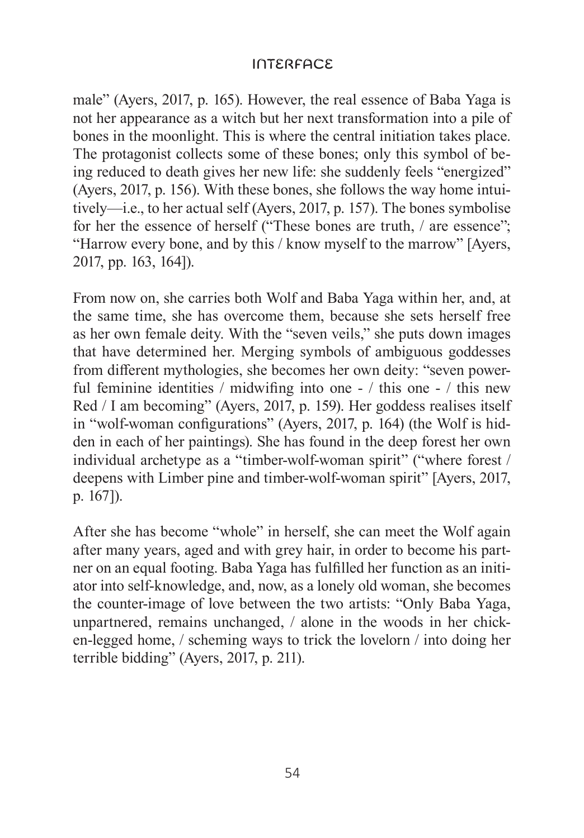male" (Ayers, 2017, p. 165). However, the real essence of Baba Yaga is not her appearance as a witch but her next transformation into a pile of bones in the moonlight. This is where the central initiation takes place. The protagonist collects some of these bones; only this symbol of being reduced to death gives her new life: she suddenly feels "energized" (Ayers, 2017, p. 156). With these bones, she follows the way home intuitively—i.e., to her actual self (Ayers, 2017, p. 157). The bones symbolise for her the essence of herself ("These bones are truth, / are essence"; "Harrow every bone, and by this / know myself to the marrow" [Ayers, 2017, pp. 163, 164]).

From now on, she carries both Wolf and Baba Yaga within her, and, at the same time, she has overcome them, because she sets herself free as her own female deity. With the "seven veils," she puts down images that have determined her. Merging symbols of ambiguous goddesses from different mythologies, she becomes her own deity: "seven powerful feminine identities / midwifing into one - / this one - / this new Red / I am becoming" (Ayers, 2017, p. 159). Her goddess realises itself in "wolf-woman configurations" (Ayers, 2017, p. 164) (the Wolf is hidden in each of her paintings). She has found in the deep forest her own individual archetype as a "timber-wolf-woman spirit" ("where forest / deepens with Limber pine and timber-wolf-woman spirit" [Ayers, 2017, p. 167]).

After she has become "whole" in herself, she can meet the Wolf again after many years, aged and with grey hair, in order to become his partner on an equal footing. Baba Yaga has fulfilled her function as an initiator into self-knowledge, and, now, as a lonely old woman, she becomes the counter-image of love between the two artists: "Only Baba Yaga, unpartnered, remains unchanged, / alone in the woods in her chicken-legged home, / scheming ways to trick the lovelorn / into doing her terrible bidding" (Ayers, 2017, p. 211).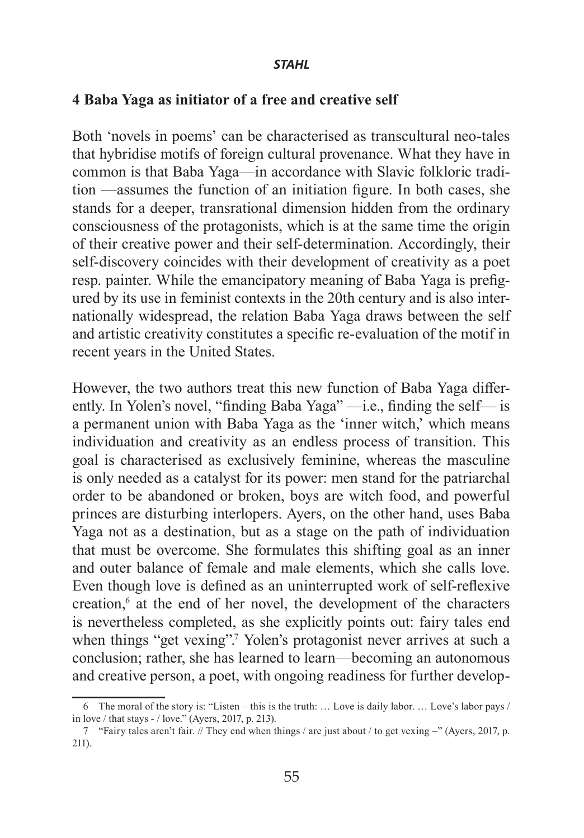## **4 Baba Yaga as initiator of a free and creative self**

Both 'novels in poems' can be characterised as transcultural neo-tales that hybridise motifs of foreign cultural provenance. What they have in common is that Baba Yaga—in accordance with Slavic folkloric tradition —assumes the function of an initiation figure. In both cases, she stands for a deeper, transrational dimension hidden from the ordinary consciousness of the protagonists, which is at the same time the origin of their creative power and their self-determination. Accordingly, their self-discovery coincides with their development of creativity as a poet resp. painter. While the emancipatory meaning of Baba Yaga is prefigured by its use in feminist contexts in the 20th century and is also internationally widespread, the relation Baba Yaga draws between the self and artistic creativity constitutes a specific re-evaluation of the motif in recent years in the United States.

However, the two authors treat this new function of Baba Yaga differently. In Yolen's novel, "finding Baba Yaga" —i.e., finding the self— is a permanent union with Baba Yaga as the 'inner witch,' which means individuation and creativity as an endless process of transition. This goal is characterised as exclusively feminine, whereas the masculine is only needed as a catalyst for its power: men stand for the patriarchal order to be abandoned or broken, boys are witch food, and powerful princes are disturbing interlopers. Ayers, on the other hand, uses Baba Yaga not as a destination, but as a stage on the path of individuation that must be overcome. She formulates this shifting goal as an inner and outer balance of female and male elements, which she calls love. Even though love is defined as an uninterrupted work of self-reflexive creation,<sup>6</sup> at the end of her novel, the development of the characters is nevertheless completed, as she explicitly points out: fairy tales end when things "get vexing".<sup>7</sup> Yolen's protagonist never arrives at such a conclusion; rather, she has learned to learn—becoming an autonomous and creative person, a poet, with ongoing readiness for further develop-

<sup>6</sup> The moral of the story is: "Listen – this is the truth: … Love is daily labor. … Love's labor pays / in love / that stays - / love." (Ayers, 2017, p. 213).

<sup>7</sup> "Fairy tales aren't fair. // They end when things / are just about / to get vexing –" (Ayers, 2017, p. 211).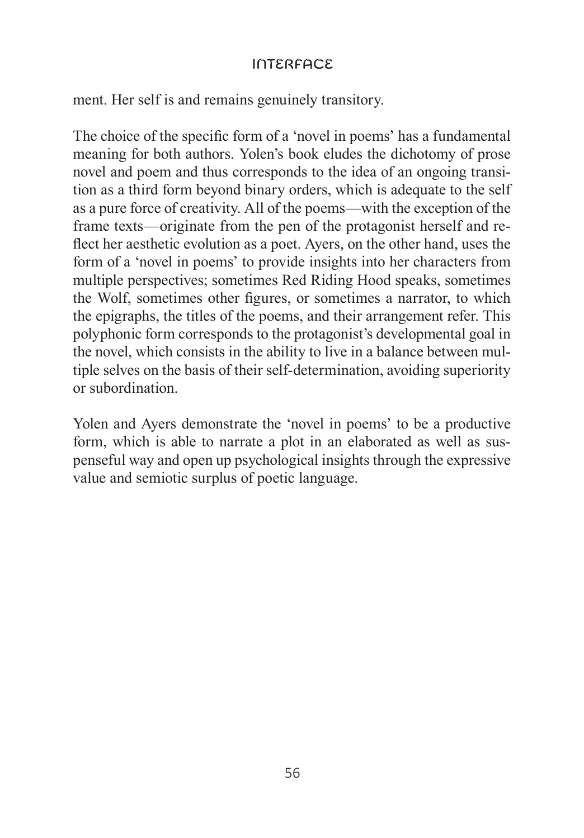ment. Her self is and remains genuinely transitory.

The choice of the specific form of a 'novel in poems' has a fundamental meaning for both authors. Yolen's book eludes the dichotomy of prose novel and poem and thus corresponds to the idea of an ongoing transition as a third form beyond binary orders, which is adequate to the self as a pure force of creativity. All of the poems—with the exception of the frame texts—originate from the pen of the protagonist herself and reflect her aesthetic evolution as a poet. Ayers, on the other hand, uses the form of a 'novel in poems' to provide insights into her characters from multiple perspectives; sometimes Red Riding Hood speaks, sometimes the Wolf, sometimes other figures, or sometimes a narrator, to which the epigraphs, the titles of the poems, and their arrangement refer. This polyphonic form corresponds to the protagonist's developmental goal in the novel, which consists in the ability to live in a balance between multiple selves on the basis of their self-determination, avoiding superiority or subordination.

Yolen and Ayers demonstrate the 'novel in poems' to be a productive form, which is able to narrate a plot in an elaborated as well as suspenseful way and open up psychological insights through the expressive value and semiotic surplus of poetic language.